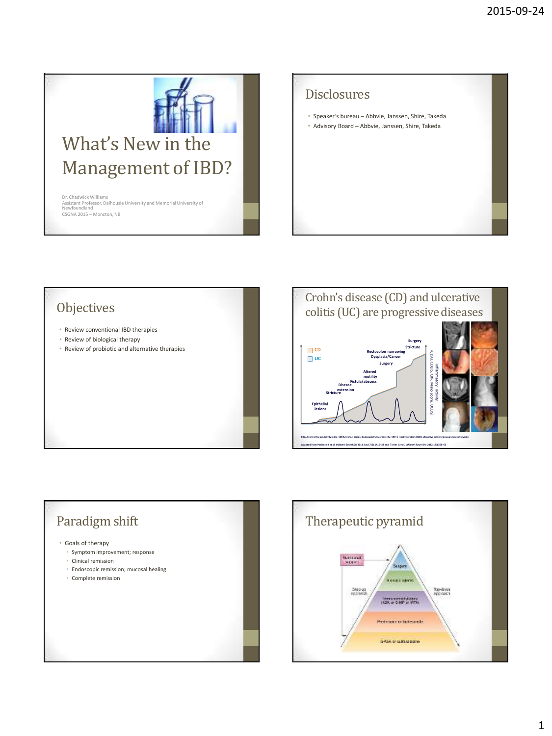

Dr. Chadwick Williams Assistant Professor, Dalhousie University and Memorial University of Newfoundland CSGNA 2015 – Moncton, NB

# Disclosures

• Speaker's bureau – Abbvie, Janssen, Shire, Takeda • Advisory Board – Abbvie, Janssen, Shire, Takeda







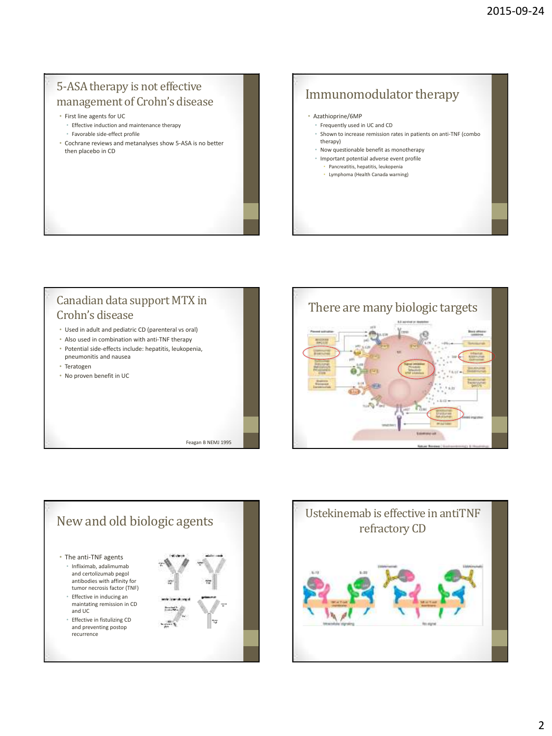### 5-ASA therapy is not effective management of Crohn's disease

- First line agents for UC
	- Effective induction and maintenance therapy
	- Favorable side-effect profile
- Cochrane reviews and metanalyses show 5-ASA is no better then placebo in CD

# Immunomodulator therapy

#### • Azathioprine/6MP

- Frequently used in UC and CD
- Shown to increase remission rates in patients on anti-TNF (combo therapy)
- Now questionable benefit as monotherapy
- Important potential adverse event profile
	- Pancreatitis, hepatitis, leukopenia • Lymphoma (Health Canada warning)

#### Canadian data support MTX in Crohn's disease • Used in adult and pediatric CD (parenteral vs oral) • Also used in combination with anti-TNF therapy

- Potential side-effects include: hepatitis, leukopenia, pneumonitis and nausea
- Teratogen
- No proven benefit in UC

Feagan B NEMJ 1995





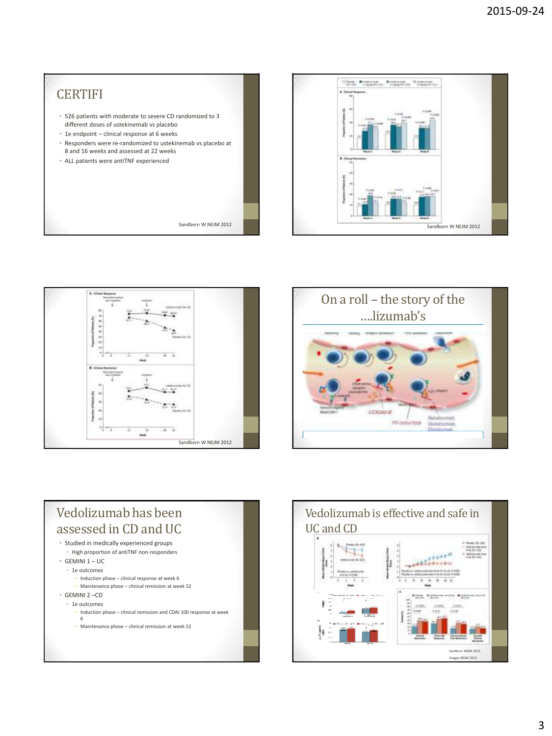









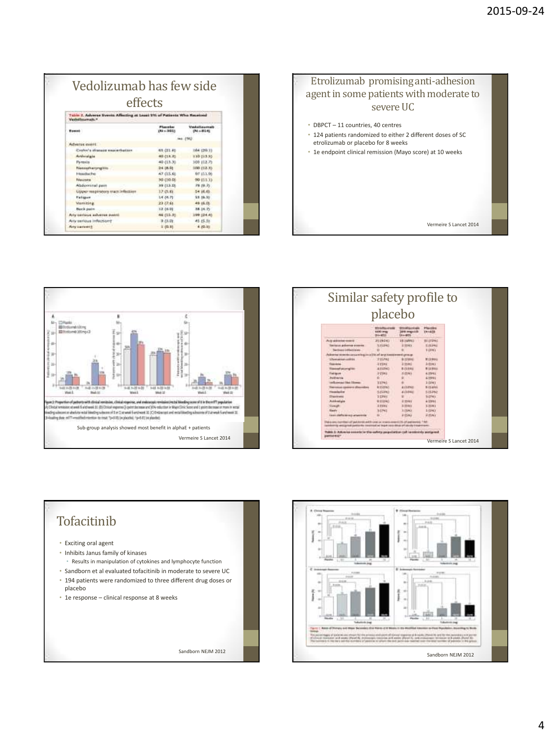| effects                                                                                      |                                  |                                         |  |  |
|----------------------------------------------------------------------------------------------|----------------------------------|-----------------------------------------|--|--|
| Tuble 2. Adverse Evenis Affecting at Least 215 of Patients Who Heceived<br>Verballmarratt. * |                                  |                                         |  |  |
| <b>Event</b>                                                                                 | <b>Flanning</b><br>$(84 - 3015)$ | <b>Vesteilingenalt</b><br>$(94 - 81.4)$ |  |  |
|                                                                                              |                                  |                                         |  |  |
| Adverse exert:                                                                               |                                  |                                         |  |  |
| Coster's dispute expectation                                                                 | <b>43 (21.6)</b>                 | 184 (20.1)                              |  |  |
| <b>Autorization</b>                                                                          | 40 (13.3)                        | 130 113.55                              |  |  |
| Paroutis                                                                                     | 40 (13.3)                        | 309 (12.7)                              |  |  |
| Nannahistyngille.                                                                            | 24.08.08                         | 100 (12.3)                              |  |  |
| Headlache                                                                                    | 47 (15.6)                        | 87 153.96                               |  |  |
| <b>Felasukseter</b>                                                                          | 30 (10.0)                        | 00 (113.33)                             |  |  |
| Abdominal pass                                                                               | 39 (13.0)                        | 79.19.75                                |  |  |
| Upper mapiratory tract infaction                                                             | 17.05.61                         | 54 (6.65)                               |  |  |
| Fallgum                                                                                      | 14 (4.7)                         | 33.19.30                                |  |  |
| <b>Monsielea</b>                                                                             | 23:27.64                         | 45-15.05                                |  |  |
| Back pain                                                                                    | <b>12 (4.D)</b>                  | 38.14.75                                |  |  |
| Arty certaus adverse award                                                                   | 46 (15.3)                        | 199 (24.40)                             |  |  |
| Arry serious infections:                                                                     | <b>9 25.01</b>                   | 45.45.56                                |  |  |
| <b>Rety cartesit 8</b>                                                                       | 2,02.31                          | 4 20.03                                 |  |  |





|                                                                                             |                                                     | placebo                                     |                           |  |
|---------------------------------------------------------------------------------------------|-----------------------------------------------------|---------------------------------------------|---------------------------|--|
|                                                                                             | <b>ESSAGEMENT</b><br><b>EXHICITIES</b><br>$3 + 412$ | <b>EXHAUSE</b><br>1406 Angelia<br>$3 - 400$ | <b>Placeles</b><br>191431 |  |
| Aug drillione com il                                                                        | 2519193                                             | <b>14 HARVEY</b>                            | <b>BEITJWE</b>            |  |
| <b>Excision and remote transient</b>                                                        | <b>NITERS</b>                                       | 3 5540 1                                    | ETLING                    |  |
| <b>Specificant continues are</b><br>downs avec to concert a relation of any necessary cross |                                                     |                                             | 1 (198)                   |  |
| U Tu-bri pai Andr collifi Ulti                                                              | PILMA                                               | <b>9:12994</b>                              | <b>MITROL</b>             |  |
| <b>Topic Hitles</b>                                                                         | $24 + 0.04$                                         | $3 - 0.441$                                 | $1$ -Ittaca               |  |
| <b><i><u>Commercial case perceptive</u></i></b>                                             | ATLING:                                             | <b>BITIMA</b>                               | <b>RIZERIA</b>            |  |
| Entrace                                                                                     | 215HT                                               | 正径和)                                        | d: (Gress)                |  |
| <b>Braid storying</b>                                                                       | ń                                                   | <b>BOY-NY</b>                               | 67991                     |  |
| officers and like Clinton                                                                   | <b>STANI</b>                                        |                                             | 11191                     |  |
| int (dim<br><b>Tren eases as</b>                                                            | <b>BUILDING</b>                                     | <b>ATTORNEY</b>                             | <b>BITLING</b>            |  |
| <b><i><u><u>Specialization</u></u></i></b>                                                  | <b>ATLING</b>                                       | <b>AISBNS</b>                               | 5.11342                   |  |
| <b>IThan America</b>                                                                        | 1 Times                                             |                                             | \$1,2790 s                |  |
| Additional                                                                                  | W11840                                              | 3.35 kg (                                   | 41991                     |  |
| <b>Concell</b>                                                                              | 3:15/mg                                             | 3.23441                                     | 3.25/6.1                  |  |
| <b>Harolin</b>                                                                              | 31751                                               | 3.13.42                                     | 14940                     |  |
| tions clofis terms arizerental                                                              |                                                     | <b>A FONT</b>                               | SUSAN I                   |  |



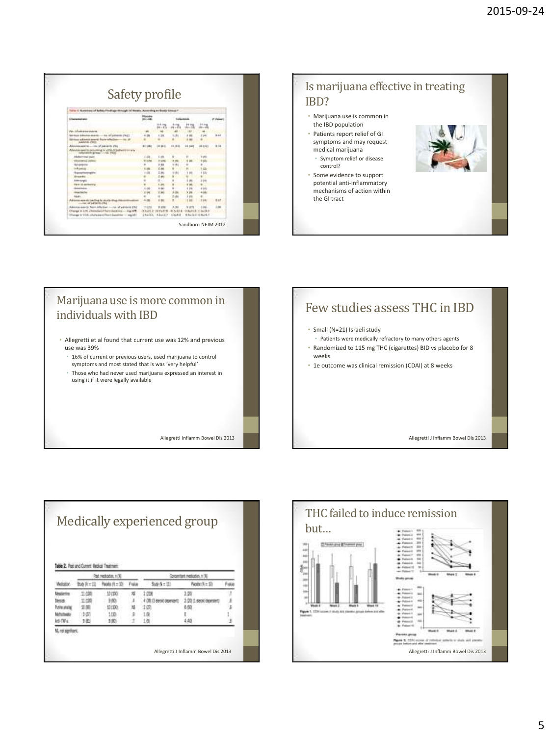| Safety profile                                                                       |          |                  |                            |                    |                       |             |
|--------------------------------------------------------------------------------------|----------|------------------|----------------------------|--------------------|-----------------------|-------------|
| Turns & Museonary of Bolista Prodiuga-Monagh Inf Header, Assessing to Boady Group P. |          |                  |                            |                    |                       |             |
| <b>Sharackahala</b>                                                                  |          |                  | 11041014                   |                    |                       |             |
|                                                                                      |          | a si ca<br>84.45 | <b>SITE</b><br>$476 - 474$ | 14 114<br>$m = 10$ | 18.8                  |             |
| Part, 214 advances systems.                                                          |          | ik é             | $\overline{\phantom{a}}$   |                    |                       |             |
| because introduce existing - the of upsteeds (fed.)                                  |          | 1.31             | 1131                       |                    | P.J.R.                | <b>B</b> at |
| or educate averal form which<br>paintenes chief                                      |          |                  |                            |                    |                       |             |
| Adobisoussette  car of pairs in this                                                 |          | <b>B</b> BRIT    | 11119-01                   |                    | . .                   | 8.34        |
| Advance awarm between a width of industry area<br>informite group. 1700, 1930        |          |                  |                            |                    |                       |             |
| Abduiring pain                                                                       | $1 - 50$ | L sitt.          | ٠                          |                    |                       |             |
| <b>USA arrival we confident</b>                                                      | 8 (5%)   | 2124             | 18.996                     |                    |                       |             |
| 18/1444-016                                                                          |          | 1.80             | 1184                       |                    |                       |             |
| <b>Ladiumede</b>                                                                     |          | t in             |                            |                    |                       |             |
| <b><i><u>Specificity of the</u></i></b>                                              | $-1$     | L im             | 1880                       |                    | 131<br>٠              |             |
| Engels                                                                               |          | t ei             |                            |                    |                       |             |
| Attravels                                                                            |          | a                | ä                          |                    | 2101                  |             |
| US-A 13 ASSISSING                                                                    |          | 1.410            | ü                          |                    |                       |             |
| <b>Bandeline</b>                                                                     | 1/3      | b pp             | ٠                          |                    | 0.143                 |             |
| <b>Hours</b> Pault or                                                                | x        | <b>E.MC</b>      | 10                         |                    | 414                   |             |
| <b>SAMP</b>                                                                          |          |                  | 248                        |                    |                       |             |
| Advance exercic landing is whate-titled<br>cracker, all publishing sing-             |          |                  | ×                          | <b>ALC</b>         | <b>P. 68</b>          |             |
| Advertisioned State Mathet cover of painters (NJ                                     | 7 (3.54) | <b>B</b> ATMC    | 3.06                       | vo                 |                       |             |
| Change in LTR. Changhaid Surv Junction - sig 1878.                                   | 0.34811  | 10170-019        | 4.1114                     |                    | <b>DANTIF 1.34093</b> |             |
| Change by Hill, schaltester of front Easterline - stand if                           |          | 181011 43x(2.8)  | 1.0488                     |                    | <b>BALGIO STANO</b>   |             |

Marijuana use is more common in

• Allegretti et al found that current use was 12% and previous

• 16% of current or previous users, used marijuana to control symptoms and most stated that is was 'very helpful' • Those who had never used marijuana expressed an interest in

Allegretti Inflamm Bowel Dis 2013

individuals with IBD

using it if it were legally available

use was 39%



• Some evidence to support potential anti-inflammatory mechanisms of action within the GI tract



- weeks
- 1e outcome was clinical remission (CDAI) at 8 weeks

Allegretti J Inflamm Bowel Dis 2013

Medically experienced group Tuble 2. Ret and Current Medical Treatment Ret redation 100 Concentrate medication, n (N) Bo N=12 **Melator**  $\text{Noch}(A=22)$ **Tula** Bulle N = LLI  $Rootx(1-1)$ Fisial Mexicon 耳葉 101200 1008 眉 2.09 limit 加加  $3,80$ × 40% Genera 100 (1 sept opener) hosing 美国 101100  $\overline{M}$  $(2/2)$  $8.80$ Mchatteala  $-9.07$  $1(10)$ ä  $10<sup>2</sup>$ × is No 线  $\frac{1}{2}$  $\overline{100}$  $10<sup>2</sup>$ M, not agethers. Allegretti J Inflamm Bowel Dis 2013

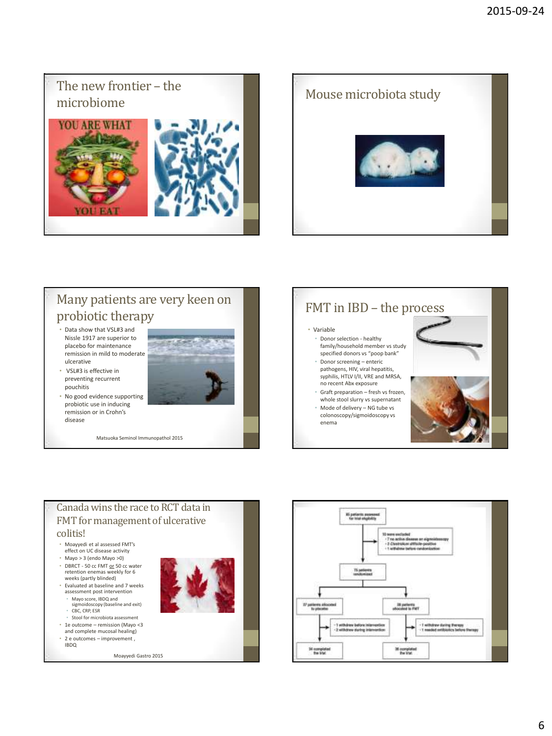# The new frontier – the





# Many patients are very keen on probiotic therapy

- Data show that VSL#3 and Nissle 1917 are superior to placebo for maintenance remission in mild to moderate ulcerative
- VSL#3 is effective in preventing recurrent pouchitis
- No good evidence supporting probiotic use in inducing remission or in Crohn's disease

Matsuoka Seminol Immunopathol 2015

## FMT in IBD – the process

#### • Variable

- Donor selection healthy family/household member vs study specified donors vs "poop bank"
- Donor screening enteric pathogens, HIV, viral hepatitis, syphilis, HTLV I/II, VRE and MRSA, no recent Abx exposure
- Graft preparation fresh vs frozen, whole stool slurry vs supernatant
- Mode of delivery NG tube vs colonoscopy/sigmoidoscopy vs enema



#### Canada wins the race to RCT data in FMT for management of ulcerative colitis! • Moayyedi et al assessed FMT's effect on UC disease activity • Mayo > 3 (endo Mayo >0)

- DBRCT 50 cc FMT or 50 cc water<br>retention enemas weekly for 6 weeks (partly blinded)
- Evaluated at baseline and 7 weeks assessment post intervention • Mayo score, IBDQ and sigmoidoscopy (baseline and exit)
	- CBC, CRP, ESR
	- Stool for microbiota assessment
- 1e outcome remission (Mayo <3 and complete mucosal healing)
- 2 e outcomes improvement ,
- IBDQ

Moayyedi Gastro 2015



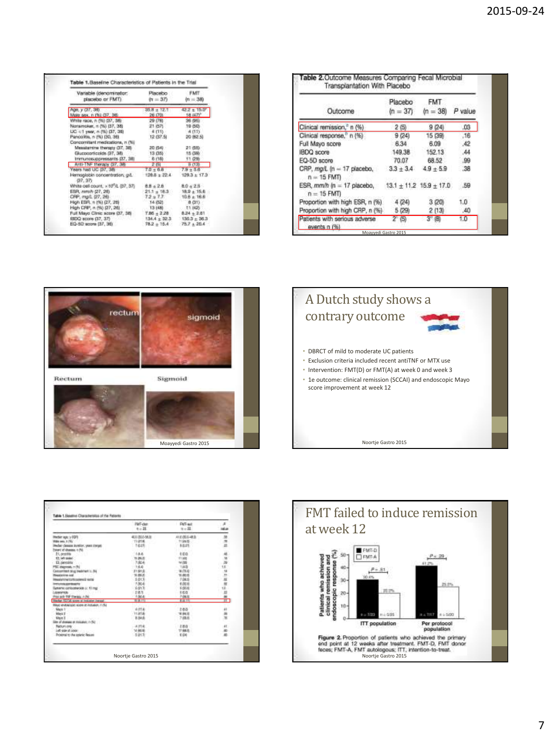| Vanable (denominator)<br>placebo or FMT)  | Placebo<br>$\hat{\sigma}_1 = 37$ | <b>FMT</b><br>$\delta n = 380$ |
|-------------------------------------------|----------------------------------|--------------------------------|
| Ape. y (37, 38)                           | $35.8 \pm 12.$                   | $12.2 + 15.0$                  |
| Male sex, n (%) (37, 38)                  | 26.070                           | 18.0477"                       |
| White race, n (%) (37, 38)                | 29.0%                            | 36 (95)                        |
| Nonamoker, n (%) (37, 38)                 | 21.157                           | 19 (50)                        |
| LIC <1 year, n (%) (17, 36)               | $400 -$                          | $-4.013$                       |
| Pancolitis, n (%) (30, 36)                | 12 (37.5)                        | 20 (62.5)                      |
| Concomitant medications, n (%)            |                                  |                                |
| Mesubarrine therapy (37, 38)              | 20 (54)                          | 21 (55)                        |
| Glucocorlicolds G7, 30                    | 13.08%                           | 15 (38)                        |
| Immunosuppressants (37, 38)               | 6.000                            | 11.090                         |
| Anti-TNF therapy (37, 38)                 | 2151                             | 0(13)                          |
| Years had UC 37, 38-                      | $7.0 + 6.8$                      | $7.9 + 5.6$                    |
| Hemoglobin concentration; gd.<br>$-37.37$ | $138.8 + 22.4$                   | $129.3 + 17.3$                 |
| White oall count: x 10"/L (37, 37)        | $8.8 + 2.8$ $8.0 + 2.5$          |                                |
| ESR, remA (27, 26)                        | $21.1 + 18.3$                    | $18.9 + 15.6$                  |
| CRP, mg/L (27, 26)                        | 72.277                           | 10.6 ± 16.6                    |
| High ESR, n (%) (27, 26)                  | 14 (52)                          | 8 (31)                         |
| High CPIP, n (%) (27, 26)                 | 13(48)                           | $-71.0425$                     |
| Full Mayo Clinic score (37, 38)           | $7.05 \pm 2.28$ $8.24 \pm 2.61$  |                                |
| (IDQ score (37, 37)                       |                                  | $134.4 + 32.3$ $130.3 + 36.3$  |
| EQ-5D acora (37, 36)                      | $78.2 + 15.4$                    | $75.7 + 20.4$                  |

| Outcome                                                                | Placebo<br>$(n = 37)$       | FMT.<br>$(n = 38)$ | P value |
|------------------------------------------------------------------------|-----------------------------|--------------------|---------|
| Clinical remission," n (%)                                             | 2(5)                        | 9(24)              | .03     |
| Clinical response," n (%)                                              | 9(24)                       | 15 (39)            | .16     |
| Full Mayo score                                                        | 6.34                        | 6.09               | .42     |
| <b>IBDQ</b> score                                                      | 149.38                      | 152.13             | .44     |
| EQ-5D score                                                            | 70.07                       | 68.52              | -99     |
| CRP, mg/L (n = 17 placebo, $3.3 \pm 3.4$ 4.9 $\pm 5.9$<br>$n = 15$ FMT |                             |                    | .38     |
| ESR, mm/h (n = 17 placebo,<br>$n = 15$ FMT                             | $13.1 + 11.2$ $15.9 + 17.0$ |                    | - 59    |
| Proportion with high ESR, n (%)                                        | 4(24)                       | 3 (20)             | 1.0     |
| Proportion with high CRP, n (%)                                        | 5 (29)                      | 2(13)              | .40     |
| Patients with serious adverse<br>events n (%)                          | ത                           | $3^{\circ}$ (H)    | 1.0     |





|                                           | <b>HAT-dan</b><br>$4 - 21$ | <b>PMT-wit</b><br>$3 + 22$ . |                         |
|-------------------------------------------|----------------------------|------------------------------|-------------------------|
| Hober age: y 00PF                         | 40120469                   | 413 (855-483).               |                         |
| <b>UMH mes. 1 PEL</b>                     | <b>THEFT</b>               | 1124.03                      | ă                       |
| Audar deseas availor, year conge          | TOLES                      | 14.15                        |                         |
| Total Automobile System                   |                            | 15,512                       |                         |
| 21, provide                               | 14.4                       | 466                          | 超铀                      |
| 12. Millaum                               | 11,35.5                    | 11100                        |                         |
| El perodito                               | 7:804                      | 14 (55)                      |                         |
| PSC increas, n (h)                        | 14.4                       | 118.03                       | 18                      |
| Grossmaat dog treatment is the            | 計画場                        | 9.05.0                       | $\overline{\mathbf{u}}$ |
| <b>Residence into</b>                     | 16,06,2                    | ni ances                     | m.                      |
|                                           | 1603                       | 7:04.10                      |                         |
| Interests contained                       | 1304                       | 8.02.18                      |                         |
| Network contocologically of 10.1944       | $-3.013$                   | KOLI                         | ū                       |
| member                                    | 283                        | 160                          |                         |
| <b>Revised-TRP therein, A PH</b>          | 1004                       | 7:08.15                      |                         |
| Market XXVIII spraw at installed install  | 10.08.77.0                 | 8.8.111                      | $\overline{1}$          |
| Mayo endoscopic score at inclusion, n.dka |                            |                              |                         |
| Mark 1                                    | <b>AITE</b>                | 288                          |                         |
| Maria 3                                   | <b>Trafa</b>               | 18.94.10                     |                         |
| Max Editor and Control                    | 8.04.6                     | 7.03.05                      |                         |
| Tell - United at the search of the        |                            |                              |                         |
| Recursory                                 | <b>AITLE</b>               | 2,8.0                        | 41                      |
|                                           | 14 Abril                   | 17.88.75                     |                         |
| Proxerui to the spieric Resure            | 15.01.10                   | 1.04                         |                         |